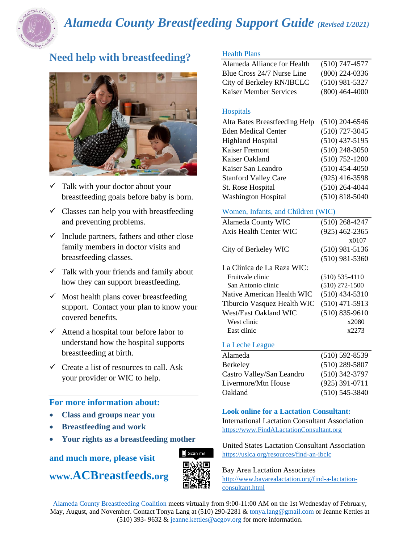

# *Alameda County Breastfeeding Support Guide (Revised 1/2021)*

## **Need help with breastfeeding?**



- Talk with your doctor about your breastfeeding goals before baby is born.
- $\checkmark$  Classes can help you with breastfeeding and preventing problems.
- $\checkmark$  Include partners, fathers and other close family members in doctor visits and breastfeeding classes.
- $\checkmark$  Talk with your friends and family about how they can support breastfeeding.
- $\checkmark$  Most health plans cover breastfeeding support. Contact your plan to know your covered benefits.
- $\checkmark$  Attend a hospital tour before labor to understand how the hospital supports breastfeeding at birth.
- $\checkmark$  Create a list of resources to call. Ask your provider or WIC to help.

## **For more information about:**

- **Class and groups near you**
- **Breastfeeding and work**
- **Your rights as a breastfeeding mother**

**and much more, please visit** 

## **www.ACBreastfeeds.org**



## Health Plans

| Alameda Alliance for Health   | $(510)$ 747-4577 |
|-------------------------------|------------------|
| Blue Cross 24/7 Nurse Line    | $(800)$ 224-0336 |
| City of Berkeley RN/IBCLC     | $(510)$ 981-5327 |
| <b>Kaiser Member Services</b> | $(800)$ 464-4000 |

## Hospitals

| Alta Bates Breastfeeding Help | $(510)$ 204-6546   |
|-------------------------------|--------------------|
| <b>Eden Medical Center</b>    | $(510)$ 727-3045   |
| <b>Highland Hospital</b>      | $(510)$ 437-5195   |
| <b>Kaiser Fremont</b>         | $(510)$ 248-3050   |
| Kaiser Oakland                | $(510) 752 - 1200$ |
| Kaiser San Leandro            | $(510)$ 454-4050   |
| <b>Stanford Valley Care</b>   | $(925)$ 416-3598   |
| St. Rose Hospital             | $(510)$ 264-4044   |
| <b>Washington Hospital</b>    | $(510) 818 - 5040$ |

## Women, Infants, and Children (WIC)

| Alameda County WIC          | $(510)$ 268-4247   |
|-----------------------------|--------------------|
| Axis Health Center WIC      | $(925)$ 462-2365   |
|                             | x0107              |
| City of Berkeley WIC        | $(510)$ 981-5136   |
|                             | $(510)$ 981-5360   |
| La Clínica de La Raza WIC:  |                    |
| Fruitvale clinic            | $(510)$ 535-4110   |
| San Antonio clinic          | $(510)$ 272-1500   |
| Native American Health WIC  | $(510)$ 434-5310   |
| Tiburcio Vasquez Health WIC | $(510)$ 471-5913   |
| West/East Oakland WIC       | $(510) 835 - 9610$ |
| West clinic                 | x2080              |
| East clinic                 | x2273              |
|                             |                    |

#### La Leche League

| $(510) 592 - 8539$ |
|--------------------|
| $(510)$ 289-5807   |
| $(510)$ 342-3797   |
| $(925)$ 391-0711   |
| $(510)$ 545-3840   |
|                    |

## **Look online for a Lactation Consultant:**

International Lactation Consultant Association [https://www.FindALactationConsultant.org](https://www.findalactationconsultant.org/)

United States Lactation Consultant Association <https://uslca.org/resources/find-an-ibclc>

Bay Area Lactation Associates

[http://www.bayarealactation.org/find-a-lactation](http://www.bayarealactation.org/find-a-lactation-consultant.html)[consultant.html](http://www.bayarealactation.org/find-a-lactation-consultant.html)

[Alameda County Breastfeeding Coalition](http://californiabreastfeeding.org/coalition-information/communitycoalitions/members/alameda/) meets virtually from 9:00-11:00 AM on the 1st Wednesday of February, May, August, and November. Contact Tonya Lang at (510) 290-2281 & [tonya.lang@gmail.com](mailto:tonya.lang@gmail.com) or Jeanne Kettles at (510) 393- 9632 & [jeanne.kettles@acgov.org](mailto:jeanne.kettles@acgov.org) for more information.